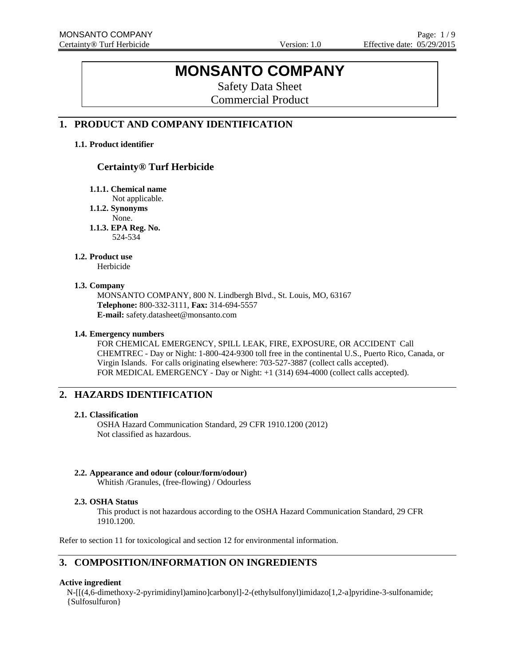# **MONSANTO COMPANY**

Safety Data Sheet Commercial Product

# **1. PRODUCT AND COMPANY IDENTIFICATION**

### **1.1. Product identifier**

# **Certainty® Turf Herbicide**

**1.1.1. Chemical name** 

Not applicable.

**1.1.2. Synonyms** 

None.

**1.1.3. EPA Reg. No.**  524-534

### **1.2. Product use**

Herbicide

### **1.3. Company**

MONSANTO COMPANY, 800 N. Lindbergh Blvd., St. Louis, MO, 63167 **Telephone:** 800-332-3111, **Fax:** 314-694-5557 **E-mail:** safety.datasheet@monsanto.com

### **1.4. Emergency numbers**

FOR CHEMICAL EMERGENCY, SPILL LEAK, FIRE, EXPOSURE, OR ACCIDENT Call CHEMTREC - Day or Night: 1-800-424-9300 toll free in the continental U.S., Puerto Rico, Canada, or Virgin Islands. For calls originating elsewhere: 703-527-3887 (collect calls accepted). FOR MEDICAL EMERGENCY - Day or Night: +1 (314) 694-4000 (collect calls accepted).

# **2. HAZARDS IDENTIFICATION**

### **2.1. Classification**

OSHA Hazard Communication Standard, 29 CFR 1910.1200 (2012) Not classified as hazardous.

### **2.2. Appearance and odour (colour/form/odour)**

Whitish /Granules, (free-flowing) / Odourless

### **2.3. OSHA Status**

This product is not hazardous according to the OSHA Hazard Communication Standard, 29 CFR 1910.1200.

Refer to section 11 for toxicological and section 12 for environmental information.

# **3. COMPOSITION/INFORMATION ON INGREDIENTS**

### **Active ingredient**

N-[[(4,6-dimethoxy-2-pyrimidinyl)amino]carbonyl]-2-(ethylsulfonyl)imidazo[1,2-a]pyridine-3-sulfonamide; {Sulfosulfuron}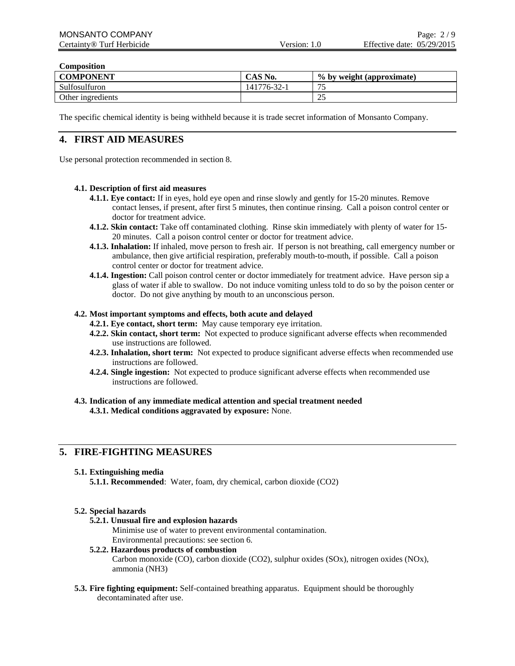# **Composition**

| <b>COMPONENT</b>  | CAS No.     | % by weight (approximate) |
|-------------------|-------------|---------------------------|
| Sulfosulfuron     | 141776-32-1 | $\overline{\phantom{0}}$  |
| Other ingredients |             | ت ک                       |

The specific chemical identity is being withheld because it is trade secret information of Monsanto Company.

# **4. FIRST AID MEASURES**

Use personal protection recommended in section 8.

### **4.1. Description of first aid measures**

- **4.1.1. Eye contact:** If in eyes, hold eye open and rinse slowly and gently for 15-20 minutes. Remove contact lenses, if present, after first 5 minutes, then continue rinsing. Call a poison control center or doctor for treatment advice.
- **4.1.2. Skin contact:** Take off contaminated clothing. Rinse skin immediately with plenty of water for 15- 20 minutes. Call a poison control center or doctor for treatment advice.
- **4.1.3. Inhalation:** If inhaled, move person to fresh air. If person is not breathing, call emergency number or ambulance, then give artificial respiration, preferably mouth-to-mouth, if possible. Call a poison control center or doctor for treatment advice.
- **4.1.4. Ingestion:** Call poison control center or doctor immediately for treatment advice. Have person sip a glass of water if able to swallow. Do not induce vomiting unless told to do so by the poison center or doctor. Do not give anything by mouth to an unconscious person.

### **4.2. Most important symptoms and effects, both acute and delayed**

- **4.2.1. Eye contact, short term:** May cause temporary eye irritation.
- **4.2.2. Skin contact, short term:** Not expected to produce significant adverse effects when recommended use instructions are followed.
- **4.2.3. Inhalation, short term:** Not expected to produce significant adverse effects when recommended use instructions are followed.
- **4.2.4. Single ingestion:** Not expected to produce significant adverse effects when recommended use instructions are followed.
- **4.3. Indication of any immediate medical attention and special treatment needed 4.3.1. Medical conditions aggravated by exposure:** None.

# **5. FIRE-FIGHTING MEASURES**

### **5.1. Extinguishing media**

**5.1.1. Recommended**: Water, foam, dry chemical, carbon dioxide (CO2)

### **5.2. Special hazards**

### **5.2.1. Unusual fire and explosion hazards**

Minimise use of water to prevent environmental contamination. Environmental precautions: see section 6.

# **5.2.2. Hazardous products of combustion**

Carbon monoxide (CO), carbon dioxide (CO2), sulphur oxides (SOx), nitrogen oxides (NOx), ammonia (NH3)

**5.3. Fire fighting equipment:** Self-contained breathing apparatus. Equipment should be thoroughly decontaminated after use.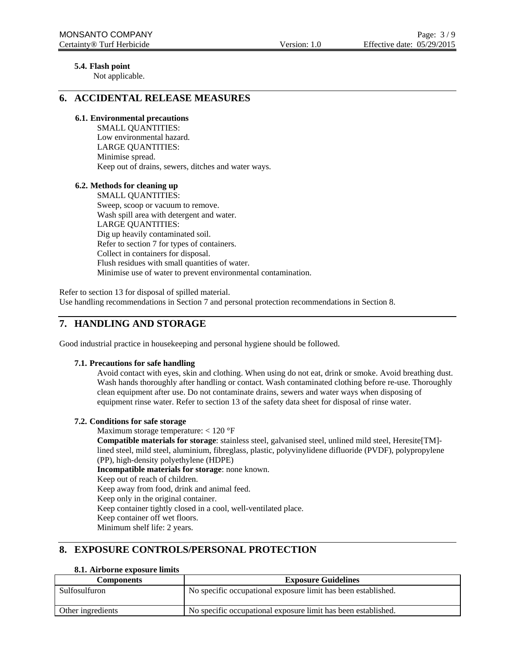### **5.4. Flash point**

Not applicable.

### **6. ACCIDENTAL RELEASE MEASURES**

### **6.1. Environmental precautions**

SMALL QUANTITIES: Low environmental hazard. LARGE QUANTITIES: Minimise spread. Keep out of drains, sewers, ditches and water ways.

### **6.2. Methods for cleaning up**

SMALL QUANTITIES: Sweep, scoop or vacuum to remove. Wash spill area with detergent and water. LARGE QUANTITIES: Dig up heavily contaminated soil. Refer to section 7 for types of containers. Collect in containers for disposal. Flush residues with small quantities of water. Minimise use of water to prevent environmental contamination.

Refer to section 13 for disposal of spilled material. Use handling recommendations in Section 7 and personal protection recommendations in Section 8.

# **7. HANDLING AND STORAGE**

Good industrial practice in housekeeping and personal hygiene should be followed.

### **7.1. Precautions for safe handling**

Avoid contact with eyes, skin and clothing. When using do not eat, drink or smoke. Avoid breathing dust. Wash hands thoroughly after handling or contact. Wash contaminated clothing before re-use. Thoroughly clean equipment after use. Do not contaminate drains, sewers and water ways when disposing of equipment rinse water. Refer to section 13 of the safety data sheet for disposal of rinse water.

### **7.2. Conditions for safe storage**

Maximum storage temperature: < 120 °F

**Compatible materials for storage**: stainless steel, galvanised steel, unlined mild steel, Heresite[TM] lined steel, mild steel, aluminium, fibreglass, plastic, polyvinylidene difluoride (PVDF), polypropylene (PP), high-density polyethylene (HDPE)

**Incompatible materials for storage**: none known. Keep out of reach of children. Keep away from food, drink and animal feed. Keep only in the original container. Keep container tightly closed in a cool, well-ventilated place. Keep container off wet floors.

Minimum shelf life: 2 years.

# **8. EXPOSURE CONTROLS/PERSONAL PROTECTION**

### **8.1. Airborne exposure limits**

| <b>Components</b> | <b>Exposure Guidelines</b>                                    |
|-------------------|---------------------------------------------------------------|
| Sulfosulfuron     | No specific occupational exposure limit has been established. |
| Other ingredients | No specific occupational exposure limit has been established. |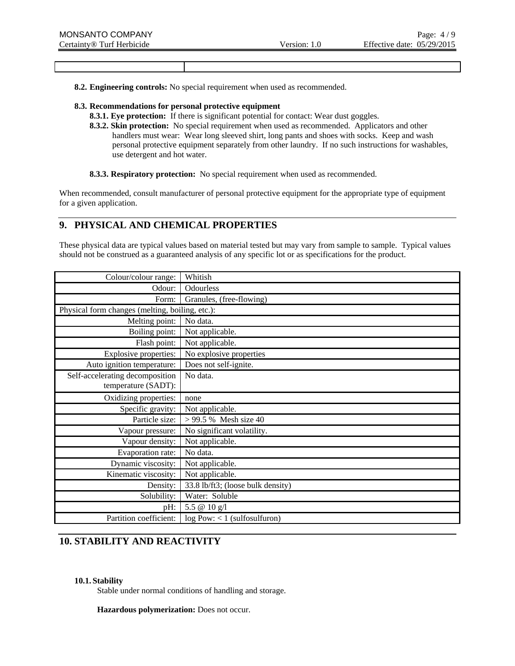**8.2. Engineering controls:** No special requirement when used as recommended.

### **8.3. Recommendations for personal protective equipment**

- **8.3.1. Eye protection:** If there is significant potential for contact: Wear dust goggles.
- **8.3.2. Skin protection:** No special requirement when used as recommended. Applicators and other handlers must wear: Wear long sleeved shirt, long pants and shoes with socks. Keep and wash personal protective equipment separately from other laundry. If no such instructions for washables, use detergent and hot water.

**8.3.3. Respiratory protection:** No special requirement when used as recommended.

When recommended, consult manufacturer of personal protective equipment for the appropriate type of equipment for a given application.

# **9. PHYSICAL AND CHEMICAL PROPERTIES**

These physical data are typical values based on material tested but may vary from sample to sample. Typical values should not be construed as a guaranteed analysis of any specific lot or as specifications for the product.

| Colour/colour range:                            | Whitish                           |
|-------------------------------------------------|-----------------------------------|
| Odour:                                          | Odourless                         |
| Form:                                           | Granules, (free-flowing)          |
| Physical form changes (melting, boiling, etc.): |                                   |
| Melting point:                                  | No data.                          |
| Boiling point:                                  | Not applicable.                   |
| Flash point:                                    | Not applicable.                   |
| <b>Explosive properties:</b>                    | No explosive properties           |
| Auto ignition temperature:                      | Does not self-ignite.             |
| Self-accelerating decomposition                 | No data.                          |
| temperature (SADT):                             |                                   |
| Oxidizing properties:                           | none                              |
| Specific gravity:                               | Not applicable.                   |
| Particle size:                                  | > 99.5 % Mesh size 40             |
| Vapour pressure:                                | No significant volatility.        |
| Vapour density:                                 | Not applicable.                   |
| Evaporation rate:                               | No data.                          |
| Dynamic viscosity:                              | Not applicable.                   |
| Kinematic viscosity:                            | Not applicable.                   |
| Density:                                        | 33.8 lb/ft3; (loose bulk density) |
| Solubility:                                     | Water: Soluble                    |
| pH:                                             | $\overline{5.5}$ @ 10 g/l         |
| Partition coefficient:                          | $log Pow: < 1$ (sulfosulfuron)    |

# **10. STABILITY AND REACTIVITY**

### **10.1. Stability**

Stable under normal conditions of handling and storage.

**Hazardous polymerization:** Does not occur.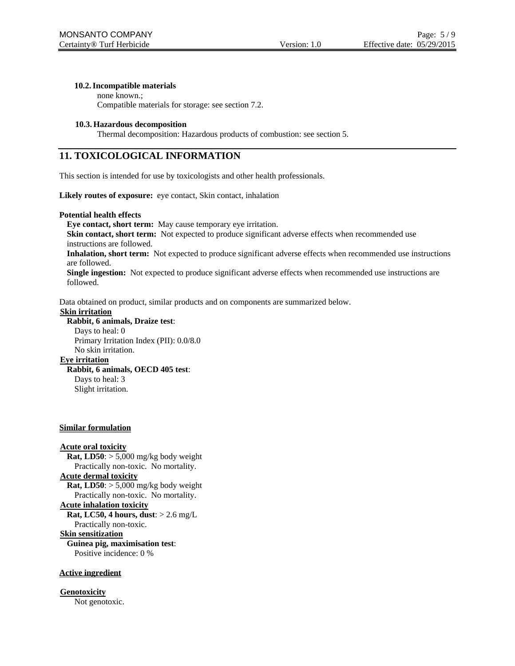#### **10.2.Incompatible materials**

none known.;

Compatible materials for storage: see section 7.2.

#### **10.3. Hazardous decomposition**

Thermal decomposition: Hazardous products of combustion: see section 5.

# **11. TOXICOLOGICAL INFORMATION**

This section is intended for use by toxicologists and other health professionals.

Likely routes of exposure: eye contact, Skin contact, inhalation

#### **Potential health effects**

**Eye contact, short term:** May cause temporary eye irritation.

**Skin contact, short term:** Not expected to produce significant adverse effects when recommended use instructions are followed.

**Inhalation, short term:** Not expected to produce significant adverse effects when recommended use instructions are followed.

**Single ingestion:** Not expected to produce significant adverse effects when recommended use instructions are followed.

Data obtained on product, similar products and on components are summarized below.

#### **Skin irritation**

**Rabbit, 6 animals, Draize test**:

Days to heal: 0 Primary Irritation Index (PII): 0.0/8.0 No skin irritation.

### **Eye irritation**

### **Rabbit, 6 animals, OECD 405 test**:

Days to heal: 3 Slight irritation.

#### **Similar formulation**

**Acute oral toxicity Rat, LD50**:  $> 5,000$  mg/kg body weight Practically non-toxic. No mortality. **Acute dermal toxicity Rat, LD50**:  $> 5,000$  mg/kg body weight Practically non-toxic. No mortality. **Acute inhalation toxicity Rat, LC50, 4 hours, dust**: > 2.6 mg/L Practically non-toxic. **Skin sensitization Guinea pig, maximisation test**: Positive incidence: 0 %

#### **Active ingredient**

**Genotoxicity** Not genotoxic.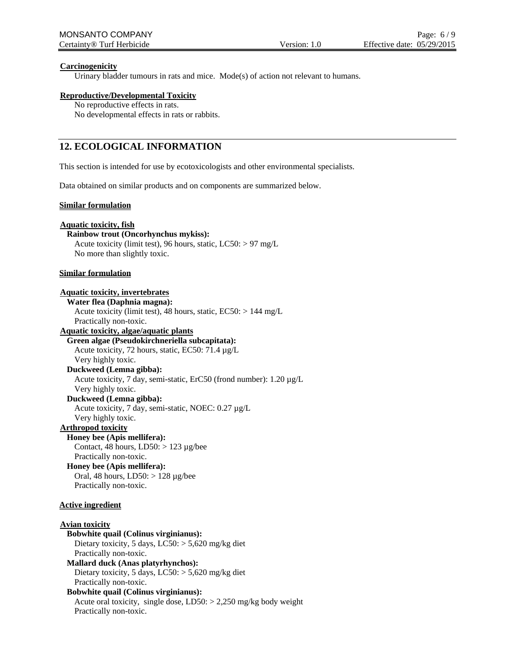### **Carcinogenicity**

Urinary bladder tumours in rats and mice. Mode(s) of action not relevant to humans.

#### **Reproductive/Developmental Toxicity**

No reproductive effects in rats. No developmental effects in rats or rabbits.

# **12. ECOLOGICAL INFORMATION**

This section is intended for use by ecotoxicologists and other environmental specialists.

Data obtained on similar products and on components are summarized below.

#### **Similar formulation**

#### **Aquatic toxicity, fish**

**Rainbow trout (Oncorhynchus mykiss):**

Acute toxicity (limit test), 96 hours, static, LC50: > 97 mg/L No more than slightly toxic.

#### **Similar formulation**

#### **Aquatic toxicity, invertebrates**

**Water flea (Daphnia magna):** Acute toxicity (limit test), 48 hours, static, EC50: > 144 mg/L Practically non-toxic. **Aquatic toxicity, algae/aquatic plants**

### **Green algae (Pseudokirchneriella subcapitata):**

Acute toxicity, 72 hours, static, EC50: 71.4 µg/L Very highly toxic.

### **Duckweed (Lemna gibba):**

Acute toxicity, 7 day, semi-static, ErC50 (frond number): 1.20 µg/L

#### Very highly toxic. **Duckweed (Lemna gibba):**

Acute toxicity, 7 day, semi-static, NOEC: 0.27 µg/L

Very highly toxic.

# **Arthropod toxicity**

**Honey bee (Apis mellifera):** Contact, 48 hours,  $LD50: > 123 \mu g/bee$ Practically non-toxic.

**Honey bee (Apis mellifera):** Oral, 48 hours, LD50: > 128 µg/bee Practically non-toxic.

#### **Active ingredient**

### **Avian toxicity Bobwhite quail (Colinus virginianus):** Dietary toxicity, 5 days,  $LC50$ :  $> 5,620$  mg/kg diet Practically non-toxic. **Mallard duck (Anas platyrhynchos):** Dietary toxicity, 5 days,  $LC50$ :  $> 5,620$  mg/kg diet Practically non-toxic. **Bobwhite quail (Colinus virginianus):** Acute oral toxicity, single dose,  $LD50: > 2,250$  mg/kg body weight Practically non-toxic.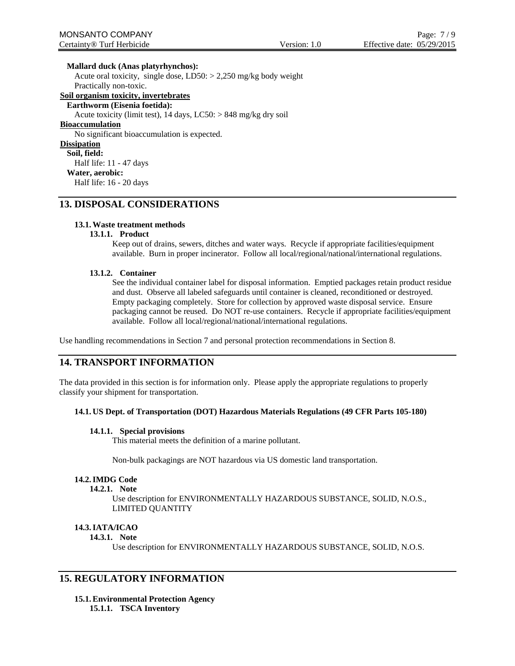**Mallard duck (Anas platyrhynchos):** Acute oral toxicity, single dose, LD50: > 2,250 mg/kg body weight Practically non-toxic. **Soil organism toxicity, invertebrates Earthworm (Eisenia foetida):** Acute toxicity (limit test), 14 days, LC50: > 848 mg/kg dry soil **Bioaccumulation** No significant bioaccumulation is expected. **Dissipation Soil, field:** Half life: 11 - 47 days **Water, aerobic:** Half life: 16 - 20 days

# **13. DISPOSAL CONSIDERATIONS**

### **13.1.Waste treatment methods**

#### **13.1.1. Product**

Keep out of drains, sewers, ditches and water ways. Recycle if appropriate facilities/equipment available. Burn in proper incinerator. Follow all local/regional/national/international regulations.

#### **13.1.2. Container**

See the individual container label for disposal information. Emptied packages retain product residue and dust. Observe all labeled safeguards until container is cleaned, reconditioned or destroyed. Empty packaging completely. Store for collection by approved waste disposal service. Ensure packaging cannot be reused. Do NOT re-use containers. Recycle if appropriate facilities/equipment available. Follow all local/regional/national/international regulations.

Use handling recommendations in Section 7 and personal protection recommendations in Section 8.

# **14. TRANSPORT INFORMATION**

The data provided in this section is for information only. Please apply the appropriate regulations to properly classify your shipment for transportation.

### **14.1. US Dept. of Transportation (DOT) Hazardous Materials Regulations (49 CFR Parts 105-180)**

#### **14.1.1. Special provisions**

This material meets the definition of a marine pollutant.

Non-bulk packagings are NOT hazardous via US domestic land transportation.

#### **14.2.IMDG Code**

#### **14.2.1. Note**

Use description for ENVIRONMENTALLY HAZARDOUS SUBSTANCE, SOLID, N.O.S., LIMITED QUANTITY

#### **14.3.IATA/ICAO**

#### **14.3.1. Note**

Use description for ENVIRONMENTALLY HAZARDOUS SUBSTANCE, SOLID, N.O.S.

### **15. REGULATORY INFORMATION**

**15.1.Environmental Protection Agency 15.1.1. TSCA Inventory**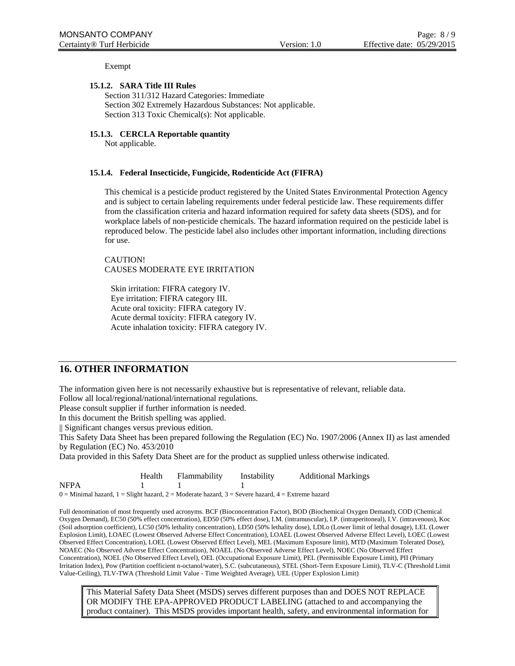Exempt

### **15.1.2. SARA Title III Rules**

Section 311/312 Hazard Categories: Immediate Section 302 Extremely Hazardous Substances: Not applicable. Section 313 Toxic Chemical(s): Not applicable.

### **15.1.3. CERCLA Reportable quantity**

Not applicable.

#### **15.1.4. Federal Insecticide, Fungicide, Rodenticide Act (FIFRA)**

This chemical is a pesticide product registered by the United States Environmental Protection Agency and is subject to certain labeling requirements under federal pesticide law. These requirements differ from the classification criteria and hazard information required for safety data sheets (SDS), and for workplace labels of non-pesticide chemicals. The hazard information required on the pesticide label is reproduced below. The pesticide label also includes other important information, including directions for use.

CAUTION! CAUSES MODERATE EYE IRRITATION

Skin irritation: FIFRA category IV. Eye irritation: FIFRA category III. Acute oral toxicity: FIFRA category IV. Acute dermal toxicity: FIFRA category IV. Acute inhalation toxicity: FIFRA category IV.

### **16. OTHER INFORMATION**

The information given here is not necessarily exhaustive but is representative of relevant, reliable data.

Follow all local/regional/national/international regulations.

Please consult supplier if further information is needed.

In this document the British spelling was applied.

|| Significant changes versus previous edition.

This Safety Data Sheet has been prepared following the Regulation (EC) No. 1907/2006 (Annex II) as last amended by Regulation (EC) No. 453/2010

Data provided in this Safety Data Sheet are for the product as supplied unless otherwise indicated.

|                                                                                                             | Health | Flammability | Instability | <b>Additional Markings</b> |  |  |  |
|-------------------------------------------------------------------------------------------------------------|--------|--------------|-------------|----------------------------|--|--|--|
| NFPA                                                                                                        |        |              |             |                            |  |  |  |
| $0 =$ Minimal hazard, $1 =$ Slight hazard, $2 =$ Moderate hazard, $3 =$ Severe hazard, $4 =$ Extreme hazard |        |              |             |                            |  |  |  |

Full denomination of most frequently used acronyms. BCF (Bioconcentration Factor), BOD (Biochemical Oxygen Demand), COD (Chemical Oxygen Demand), EC50 (50% effect concentration), ED50 (50% effect dose), I.M. (intramuscular), I.P. (intraperitoneal), I.V. (intravenous), Koc (Soil adsorption coefficient), LC50 (50% lethality concentration), LD50 (50% lethality dose), LDLo (Lower limit of lethal dosage), LEL (Lower Explosion Limit), LOAEC (Lowest Observed Adverse Effect Concentration), LOAEL (Lowest Observed Adverse Effect Level), LOEC (Lowest Observed Effect Concentration), LOEL (Lowest Observed Effect Level), MEL (Maximum Exposure limit), MTD (Maximum Tolerated Dose), NOAEC (No Observed Adverse Effect Concentration), NOAEL (No Observed Adverse Effect Level), NOEC (No Observed Effect Concentration), NOEL (No Observed Effect Level), OEL (Occupational Exposure Limit), PEL (Permissible Exposure Limit), PII (Primary Irritation Index), Pow (Partition coefficient n-octanol/water), S.C. (subcutaneous), STEL (Short-Term Exposure Limit), TLV-C (Threshold Limit Value-Ceiling), TLV-TWA (Threshold Limit Value - Time Weighted Average), UEL (Upper Explosion Limit)

This Material Safety Data Sheet (MSDS) serves different purposes than and DOES NOT REPLACE OR MODIFY THE EPA-APPROVED PRODUCT LABELING (attached to and accompanying the product container). This MSDS provides important health, safety, and environmental information for